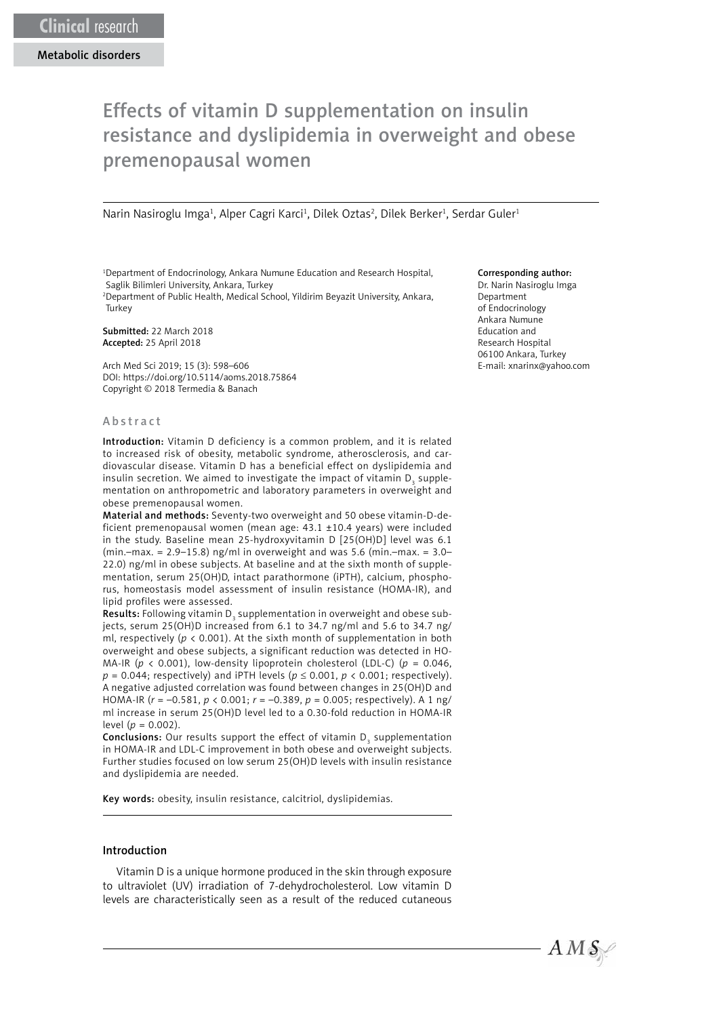# Effects of vitamin D supplementation on insulin resistance and dyslipidemia in overweight and obese premenopausal women

Narin Nasiroglu Imga<sup>1</sup>, Alper Cagri Karci<sup>1</sup>, Dilek Oztas<sup>2</sup>, Dilek Berker<sup>1</sup>, Serdar Guler<sup>1</sup>

1 Department of Endocrinology, Ankara Numune Education and Research Hospital, Saglik Bilimleri University, Ankara, Turkey

2 Department of Public Health, Medical School, Yildirim Beyazit University, Ankara, **Turkey** 

Submitted: 22 March 2018 Accepted: 25 April 2018

Arch Med Sci 2019; 15 (3): 598–606 DOI: https://doi.org/10.5114/aoms.2018.75864 Copyright © 2018 Termedia & Banach

### Abstract

Introduction: Vitamin D deficiency is a common problem, and it is related to increased risk of obesity, metabolic syndrome, atherosclerosis, and cardiovascular disease. Vitamin D has a beneficial effect on dyslipidemia and insulin secretion. We aimed to investigate the impact of vitamin  $\mathsf{D}_{_{\mathsf{3}}}$  supplementation on anthropometric and laboratory parameters in overweight and obese premenopausal women.

Material and methods: Seventy-two overweight and 50 obese vitamin-D-deficient premenopausal women (mean age: 43.1 ±10.4 years) were included in the study. Baseline mean 25-hydroxyvitamin D [25(OH)D] level was 6.1 (min.–max. =  $2.9-15.8$ ) ng/ml in overweight and was 5.6 (min.–max. =  $3.0-$ 22.0) ng/ml in obese subjects. At baseline and at the sixth month of supplementation, serum 25(OH)D, intact parathormone (iPTH), calcium, phosphorus, homeostasis model assessment of insulin resistance (HOMA-IR), and lipid profiles were assessed.

**Results:** Following vitamin D<sub>3</sub> supplementation in overweight and obese subjects, serum 25(OH)D increased from 6.1 to 34.7 ng/ml and 5.6 to 34.7 ng/ ml, respectively (*p* < 0.001). At the sixth month of supplementation in both overweight and obese subjects, a significant reduction was detected in HO-MA-IR (*p* < 0.001), low-density lipoprotein cholesterol (LDL-C) (*p* = 0.046,  $p = 0.044$ ; respectively) and iPTH levels ( $p \le 0.001$ ,  $p \le 0.001$ ; respectively). A negative adjusted correlation was found between changes in 25(OH)D and HOMA-IR (*r* = –0.581, *p* < 0.001; *r* = –0.389, *p* = 0.005; respectively). A 1 ng/ ml increase in serum 25(OH)D level led to a 0.30-fold reduction in HOMA-IR level ( $p = 0.002$ ).

**Conclusions:** Our results support the effect of vitamin  $D_3$  supplementation in HOMA-IR and LDL-C improvement in both obese and overweight subjects. Further studies focused on low serum 25(OH)D levels with insulin resistance and dyslipidemia are needed.

Key words: obesity, insulin resistance, calcitriol, dyslipidemias.

# Introduction

Vitamin D is a unique hormone produced in the skin through exposure to ultraviolet (UV) irradiation of 7-dehydrocholesterol. Low vitamin D levels are characteristically seen as a result of the reduced cutaneous

#### Corresponding author:

Dr. Narin Nasiroglu Imga Department of Endocrinology Ankara Numune Education and Research Hospital 06100 Ankara, Turkey E-mail: xnarinx@yahoo.com

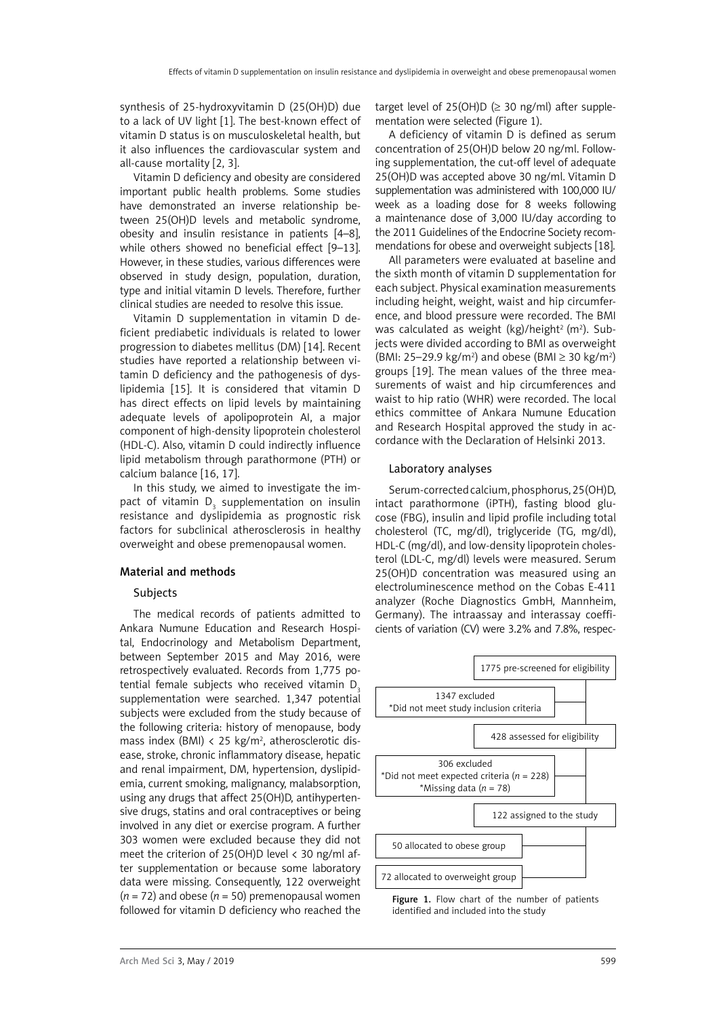synthesis of 25-hydroxyvitamin D (25(OH)D) due to a lack of UV light [1]. The best-known effect of vitamin D status is on musculoskeletal health, but it also influences the cardiovascular system and all-cause mortality [2, 3].

Vitamin D deficiency and obesity are considered important public health problems. Some studies have demonstrated an inverse relationship between 25(OH)D levels and metabolic syndrome, obesity and insulin resistance in patients [4–8], while others showed no beneficial effect [9–13]. However, in these studies, various differences were observed in study design, population, duration, type and initial vitamin D levels. Therefore, further clinical studies are needed to resolve this issue.

Vitamin D supplementation in vitamin D deficient prediabetic individuals is related to lower progression to diabetes mellitus (DM) [14]. Recent studies have reported a relationship between vitamin D deficiency and the pathogenesis of dyslipidemia [15]. It is considered that vitamin D has direct effects on lipid levels by maintaining adequate levels of apolipoprotein AI, a major component of high-density lipoprotein cholesterol (HDL-C). Also, vitamin D could indirectly influence lipid metabolism through parathormone (PTH) or calcium balance [16, 17].

In this study, we aimed to investigate the impact of vitamin  $\mathsf{D}_{_{\mathrm{3}}}$  supplementation on insulin resistance and dyslipidemia as prognostic risk factors for subclinical atherosclerosis in healthy overweight and obese premenopausal women.

#### Material and methods

#### Subjects

The medical records of patients admitted to Ankara Numune Education and Research Hospital, Endocrinology and Metabolism Department, between September 2015 and May 2016, were retrospectively evaluated. Records from 1,775 potential female subiects who received vitamin D<sub>3</sub> supplementation were searched. 1,347 potential subjects were excluded from the study because of the following criteria: history of menopause, body mass index (BMI) < 25 kg/m<sup>2</sup>, atherosclerotic disease, stroke, chronic inflammatory disease, hepatic and renal impairment, DM, hypertension, dyslipidemia, current smoking, malignancy, malabsorption, using any drugs that affect 25(OH)D, antihypertensive drugs, statins and oral contraceptives or being involved in any diet or exercise program. A further 303 women were excluded because they did not meet the criterion of 25(OH)D level  $\langle$  30 ng/ml after supplementation or because some laboratory data were missing. Consequently, 122 overweight (*n* = 72) and obese (*n* = 50) premenopausal women followed for vitamin D deficiency who reached the

target level of 25(OH)D ( $\geq$  30 ng/ml) after supplementation were selected (Figure 1).

A deficiency of vitamin D is defined as serum concentration of 25(OH)D below 20 ng/ml. Following supplementation, the cut-off level of adequate 25(OH)D was accepted above 30 ng/ml. Vitamin D supplementation was administered with 100,000 IU/ week as a loading dose for 8 weeks following a maintenance dose of 3,000 IU/day according to the 2011 Guidelines of the Endocrine Society recommendations for obese and overweight subjects [18].

All parameters were evaluated at baseline and the sixth month of vitamin D supplementation for each subject. Physical examination measurements including height, weight, waist and hip circumference, and blood pressure were recorded. The BMI was calculated as weight  $(kg)/$ height<sup>2</sup> (m<sup>2</sup>). Subjects were divided according to BMI as overweight (BMI: 25–29.9 kg/m<sup>2</sup>) and obese (BMI ≥ 30 kg/m<sup>2</sup>) groups [19]. The mean values of the three measurements of waist and hip circumferences and waist to hip ratio (WHR) were recorded. The local ethics committee of Ankara Numune Education and Research Hospital approved the study in accordance with the Declaration of Helsinki 2013.

### Laboratory analyses

Serum-corrected calcium, phosphorus, 25(OH)D, intact parathormone (iPTH), fasting blood glucose (FBG), insulin and lipid profile including total cholesterol (TC, mg/dl), triglyceride (TG, mg/dl), HDL-C (mg/dl), and low-density lipoprotein cholesterol (LDL-C, mg/dl) levels were measured. Serum 25(OH)D concentration was measured using an electroluminescence method on the Cobas E-411 analyzer (Roche Diagnostics GmbH, Mannheim, Germany). The intraassay and interassay coefficients of variation (CV) were 3.2% and 7.8%, respec-



Figure 1. Flow chart of the number of patients identified and included into the study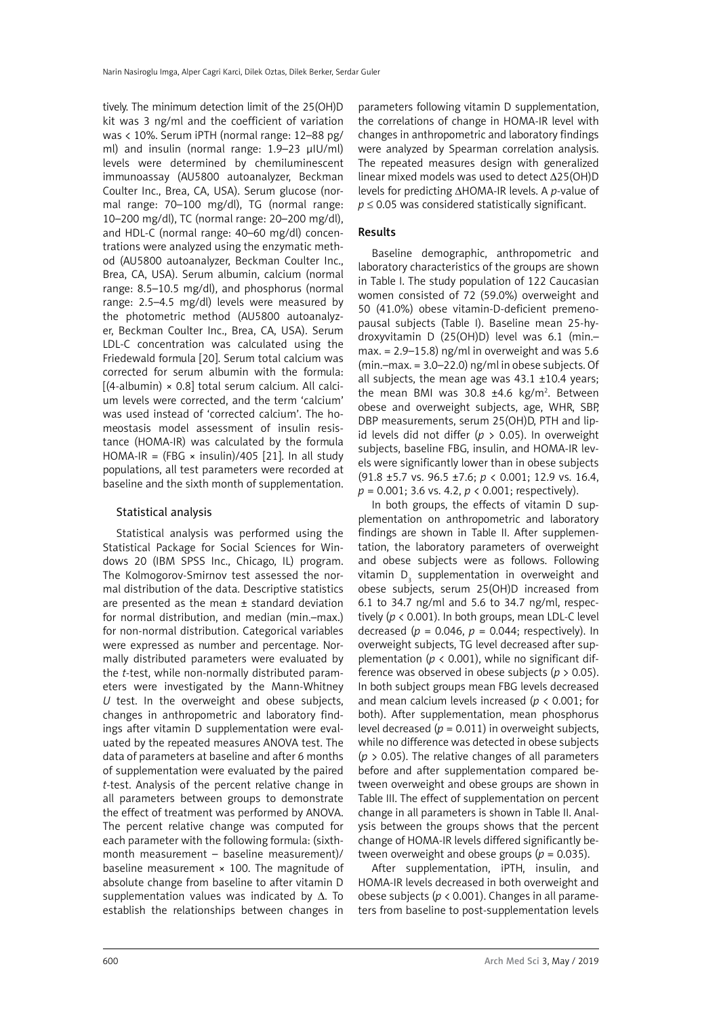tively. The minimum detection limit of the 25(OH)D kit was 3 ng/ml and the coefficient of variation was < 10%. Serum iPTH (normal range: 12–88 pg/ ml) and insulin (normal range: 1.9–23 μIU/ml) levels were determined by chemiluminescent immunoassay (AU5800 autoanalyzer, Beckman Coulter Inc., Brea, CA, USA). Serum glucose (normal range: 70–100 mg/dl), TG (normal range: 10–200 mg/dl), TC (normal range: 20–200 mg/dl), and HDL-C (normal range: 40–60 mg/dl) concentrations were analyzed using the enzymatic method (AU5800 autoanalyzer, Beckman Coulter Inc., Brea, CA, USA). Serum albumin, calcium (normal range: 8.5–10.5 mg/dl), and phosphorus (normal range: 2.5–4.5 mg/dl) levels were measured by the photometric method (AU5800 autoanalyzer, Beckman Coulter Inc., Brea, CA, USA). Serum LDL-C concentration was calculated using the Friedewald formula [20]. Serum total calcium was corrected for serum albumin with the formula:  $[(4-aIbumi) \times 0.8]$  total serum calcium. All calcium levels were corrected, and the term 'calcium' was used instead of 'corrected calcium'. The homeostasis model assessment of insulin resistance (HOMA-IR) was calculated by the formula HOMA-IR = (FBG  $\times$  insulin)/405 [21]. In all study populations, all test parameters were recorded at baseline and the sixth month of supplementation.

## Statistical analysis

Statistical analysis was performed using the Statistical Package for Social Sciences for Windows 20 (IBM SPSS Inc., Chicago, IL) program. The Kolmogorov-Smirnov test assessed the normal distribution of the data. Descriptive statistics are presented as the mean ± standard deviation for normal distribution, and median (min.–max.) for non-normal distribution. Categorical variables were expressed as number and percentage. Normally distributed parameters were evaluated by the *t*-test, while non-normally distributed parameters were investigated by the Mann-Whitney *U* test. In the overweight and obese subjects, changes in anthropometric and laboratory findings after vitamin D supplementation were evaluated by the repeated measures ANOVA test. The data of parameters at baseline and after 6 months of supplementation were evaluated by the paired *t-*test. Analysis of the percent relative change in all parameters between groups to demonstrate the effect of treatment was performed by ANOVA. The percent relative change was computed for each parameter with the following formula: (sixthmonth measurement – baseline measurement)/ baseline measurement × 100. The magnitude of absolute change from baseline to after vitamin D supplementation values was indicated by Δ. To establish the relationships between changes in

parameters following vitamin D supplementation, the correlations of change in HOMA-IR level with changes in anthropometric and laboratory findings were analyzed by Spearman correlation analysis. The repeated measures design with generalized linear mixed models was used to detect ∆25(OH)D levels for predicting ∆HOMA-IR levels. A *p*-value of  $p \leq 0.05$  was considered statistically significant.

# Results

Baseline demographic, anthropometric and laboratory characteristics of the groups are shown in Table I. The study population of 122 Caucasian women consisted of 72 (59.0%) overweight and 50 (41.0%) obese vitamin-D-deficient premenopausal subjects (Table I). Baseline mean 25-hydroxyvitamin D (25(OH)D) level was 6.1 (min.– max.  $= 2.9 - 15.8$ ) ng/ml in overweight and was 5.6 (min.–max. = 3.0–22.0) ng/ml in obese subjects. Of all subjects, the mean age was  $43.1 \pm 10.4$  years; the mean BMI was  $30.8 \pm 4.6 \text{ kg/m}^2$ . Between obese and overweight subjects, age, WHR, SBP, DBP measurements, serum 25(OH)D, PTH and lipid levels did not differ (*p* > 0.05). In overweight subjects, baseline FBG, insulin, and HOMA-IR levels were significantly lower than in obese subjects (91.8 ±5.7 vs. 96.5 ±7.6; *p* < 0.001; 12.9 vs. 16.4, *p* = 0.001; 3.6 vs. 4.2, *p* < 0.001; respectively).

In both groups, the effects of vitamin D supplementation on anthropometric and laboratory findings are shown in Table II. After supplementation, the laboratory parameters of overweight and obese subjects were as follows. Following vitamin  $\mathsf{D}_{_{\mathrm{3}}}$  supplementation in overweight and obese subjects, serum 25(OH)D increased from 6.1 to 34.7 ng/ml and 5.6 to 34.7 ng/ml, respectively (*p* < 0.001). In both groups, mean LDL-C level decreased ( $p = 0.046$ ,  $p = 0.044$ ; respectively). In overweight subjects, TG level decreased after supplementation ( $p < 0.001$ ), while no significant difference was observed in obese subjects (*p* > 0.05). In both subject groups mean FBG levels decreased and mean calcium levels increased (*p* < 0.001; for both). After supplementation, mean phosphorus level decreased ( $p = 0.011$ ) in overweight subjects, while no difference was detected in obese subjects (*p* > 0.05). The relative changes of all parameters before and after supplementation compared between overweight and obese groups are shown in Table III. The effect of supplementation on percent change in all parameters is shown in Table II. Analysis between the groups shows that the percent change of HOMA-IR levels differed significantly between overweight and obese groups ( $p = 0.035$ ).

After supplementation, iPTH, insulin, and HOMA-IR levels decreased in both overweight and obese subjects ( $p < 0.001$ ). Changes in all parameters from baseline to post-supplementation levels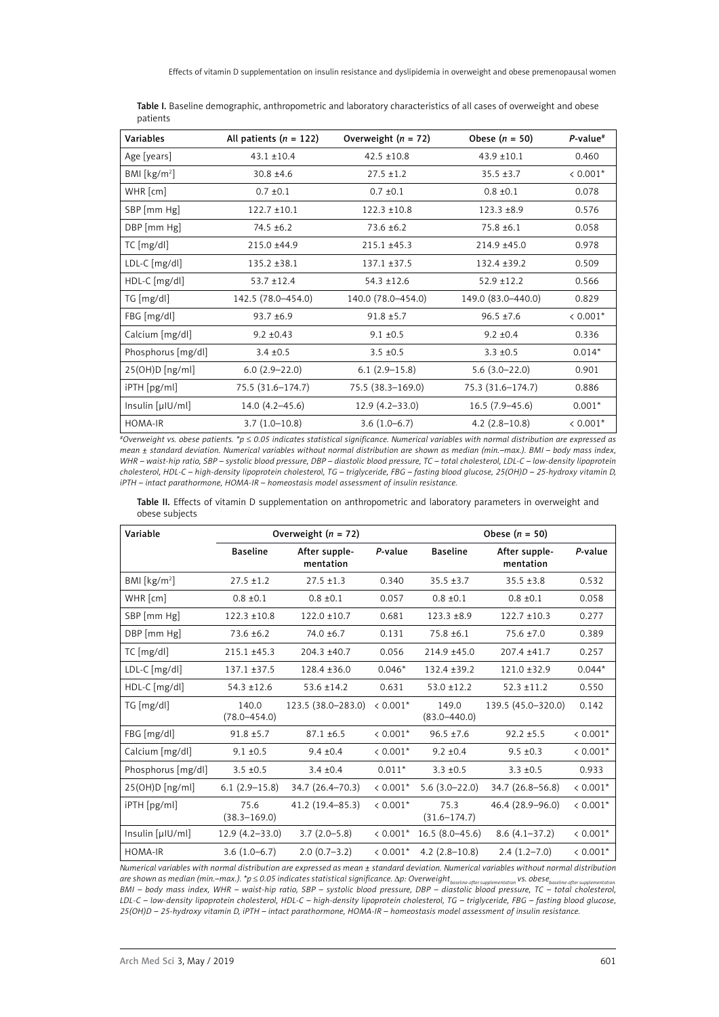| Variables          | All patients $(n = 122)$ | Overweight $(n = 72)$ | Obese $(n = 50)$   | $P$ -value <sup>#</sup> |
|--------------------|--------------------------|-----------------------|--------------------|-------------------------|
| Age [years]        | $43.1 \pm 10.4$          | $42.5 \pm 10.8$       | $43.9 \pm 10.1$    | 0.460                   |
| BMI [ $kg/m2$ ]    | $30.8 \pm 4.6$           | $27.5 \pm 1.2$        | $35.5 \pm 3.7$     | $< 0.001*$              |
| $WHR$ [cm]         | $0.7 \pm 0.1$            | $0.7 \pm 0.1$         | $0.8 \pm 0.1$      | 0.078                   |
| SBP [mm Hg]        | $122.7 \pm 10.1$         | $122.3 \pm 10.8$      | $123.3 \pm 8.9$    | 0.576                   |
| DBP [mm Hg]        | $74.5 \pm 6.2$           | $73.6 \pm 6.2$        | $75.8 \pm 6.1$     | 0.058                   |
| $TC$ [mg/dl]       | 215.0 ±44.9              | $215.1 \pm 45.3$      | 214.9 ±45.0        | 0.978                   |
| $LDL-C$ [mg/dl]    | $135.2 \pm 38.1$         | $137.1 \pm 37.5$      | $132.4 \pm 39.2$   | 0.509                   |
| HDL-C [mg/dl]      | $53.7 \pm 12.4$          | $54.3 \pm 12.6$       | $52.9$ ±12.2       | 0.566                   |
| $TG$ [mg/dl]       | 142.5 (78.0-454.0)       | 140.0 (78.0-454.0)    | 149.0 (83.0-440.0) | 0.829                   |
| FBG [mg/dl]        | $93.7 + 6.9$             | $91.8 \pm 5.7$        | $96.5 \pm 7.6$     | $0.001*$                |
| Calcium [mg/dl]    | $9.2 \pm 0.43$           | $9.1 \pm 0.5$         | $9.2 \pm 0.4$      | 0.336                   |
| Phosphorus [mg/dl] | $3.4 \pm 0.5$            | $3.5 \pm 0.5$         | $3.3 \pm 0.5$      | $0.014*$                |
| 25(OH)D[ng/ml]     | $6.0(2.9-22.0)$          | $6.1(2.9-15.8)$       | $5.6(3.0-22.0)$    | 0.901                   |
| iPTH [pg/ml]       | 75.5 (31.6-174.7)        | 75.5 (38.3-169.0)     | 75.3 (31.6-174.7)  | 0.886                   |
| Insulin [µIU/ml]   | $14.0(4.2 - 45.6)$       | $12.9(4.2 - 33.0)$    | $16.5(7.9-45.6)$   | $0.001*$                |
| HOMA-IR            | $3.7(1.0-10.8)$          | $3.6(1.0-6.7)$        | $4.2$ (2.8-10.8)   | $< 0.001*$              |

Table I. Baseline demographic, anthropometric and laboratory characteristics of all cases of overweight and obese patients

*#Overweight vs. obese patients. \*p* ≤ *0.05 indicates statistical significance. Numerical variables with normal distribution are expressed as mean ± standard deviation. Numerical variables without normal distribution are shown as median (min.–max.). BMI – body mass index, WHR – waist-hip ratio, SBP – systolic blood pressure, DBP – diastolic blood pressure, TC – total cholesterol, LDL-C – low-density lipoprotein cholesterol, HDL-C – high-density lipoprotein cholesterol, TG – triglyceride, FBG – fasting blood glucose, 25(OH)D – 25-hydroxy vitamin D, iPTH – intact parathormone, HOMA-IR – homeostasis model assessment of insulin resistance.*

Table II. Effects of vitamin D supplementation on anthropometric and laboratory parameters in overweight and obese subjects

| Variable                | Overweight $(n = 72)$     |                            |            | Obese $(n = 50)$          |                            |            |  |
|-------------------------|---------------------------|----------------------------|------------|---------------------------|----------------------------|------------|--|
|                         | <b>Baseline</b>           | After supple-<br>mentation | P-value    | <b>Baseline</b>           | After supple-<br>mentation | P-value    |  |
| BM [kg/m <sup>2</sup> ] | $27.5 \pm 1.2$            | $27.5 \pm 1.3$             | 0.340      | $35.5 \pm 3.7$            | $35.5 \pm 3.8$             | 0.532      |  |
| WHR [cm]                | $0.8 \pm 0.1$             | $0.8 \pm 0.1$              | 0.057      | $0.8 \pm 0.1$             | $0.8 \pm 0.1$              | 0.058      |  |
| SBP [mm Hg]             | $122.3 \pm 10.8$          | $122.0 \pm 10.7$           | 0.681      | $123.3 \pm 8.9$           | $122.7 \pm 10.3$           | 0.277      |  |
| DBP [mm Hg]             | $73.6 \pm 6.2$            | $74.0 \pm 6.7$             | 0.131      | $75.8 \pm 6.1$            | $75.6 \pm 7.0$             | 0.389      |  |
| TC [mg/dl]              | $215.1 \pm 45.3$          | 204.3 ±40.7                | 0.056      | $214.9 + 45.0$            | 207.4 ±41.7                | 0.257      |  |
| LDL-C [mg/dl]           | $137.1 \pm 37.5$          | $128.4 \pm 36.0$           | $0.046*$   | $132.4 \pm 39.2$          | $121.0 \pm 32.9$           | $0.044*$   |  |
| $HDL-C$ [mg/dl]         | $54.3 \pm 12.6$           | $53.6 \pm 14.2$            | 0.631      | $53.0 \pm 12.2$           | $52.3 \pm 11.2$            | 0.550      |  |
| TG [mg/dl]              | 140.0<br>$(78.0 - 454.0)$ | 123.5 (38.0–283.0)         | $< 0.001*$ | 149.0<br>$(83.0 - 440.0)$ | 139.5 (45.0-320.0)         | 0.142      |  |
| FBG [mg/dl]             | $91.8 \pm 5.7$            | $87.1 \pm 6.5$             | $0.001*$   | $96.5 \pm 7.6$            | $92.2 \pm 5.5$             | $0.001*$   |  |
| Calcium [mg/dl]         | $9.1 \pm 0.5$             | $9.4 \pm 0.4$              | $0.001*$   | $9.2 \pm 0.4$             | $9.5 \pm 0.3$              | $< 0.001*$ |  |
| Phosphorus [mg/dl]      | $3.5 \pm 0.5$             | $3.4 \pm 0.4$              | $0.011*$   | $3.3 \pm 0.5$             | $3.3 \pm 0.5$              | 0.933      |  |
| 25(OH)D [ng/ml]         | $6.1(2.9-15.8)$           | 34.7 (26.4–70.3)           | $< 0.001*$ | $5.6(3.0-22.0)$           | 34.7 (26.8–56.8)           | $< 0.001*$ |  |
| iPTH [pg/ml]            | 75.6<br>$(38.3 - 169.0)$  | 41.2 (19.4–85.3)           | $< 0.001*$ | 75.3<br>$(31.6 - 174.7)$  | 46.4 (28.9–96.0)           | $< 0.001*$ |  |
| Insulin [µ U/m]         | $12.9(4.2 - 33.0)$        | $3.7(2.0-5.8)$             | $0.001*$   | $16.5(8.0-45.6)$          | $8.6(4.1-37.2)$            | $0.001*$   |  |
| <b>HOMA-IR</b>          | $3.6(1.0-6.7)$            | $2.0(0.7-3.2)$             | $< 0.001*$ | $4.2(2.8-10.8)$           | $2.4(1.2 - 7.0)$           | $< 0.001*$ |  |

*Numerical variables with normal distribution are expressed as mean ± standard deviation. Numerical variables without normal distribution*  are shown as median (min.–max.). \*p ≤ 0.05 indicates statistical significance. Δp: Overweight<sub>baseline-after supplementation</sub> vs. obese<sub>baseli</sub> *BMI – body mass index, WHR – waist-hip ratio, SBP – systolic blood pressure, DBP – diastolic blood pressure, TC – total cholesterol, LDL-C – low-density lipoprotein cholesterol, HDL-C – high-density lipoprotein cholesterol, TG – triglyceride, FBG – fasting blood glucose, 25(OH)D – 25-hydroxy vitamin D, iPTH – intact parathormone, HOMA-IR – homeostasis model assessment of insulin resistance.*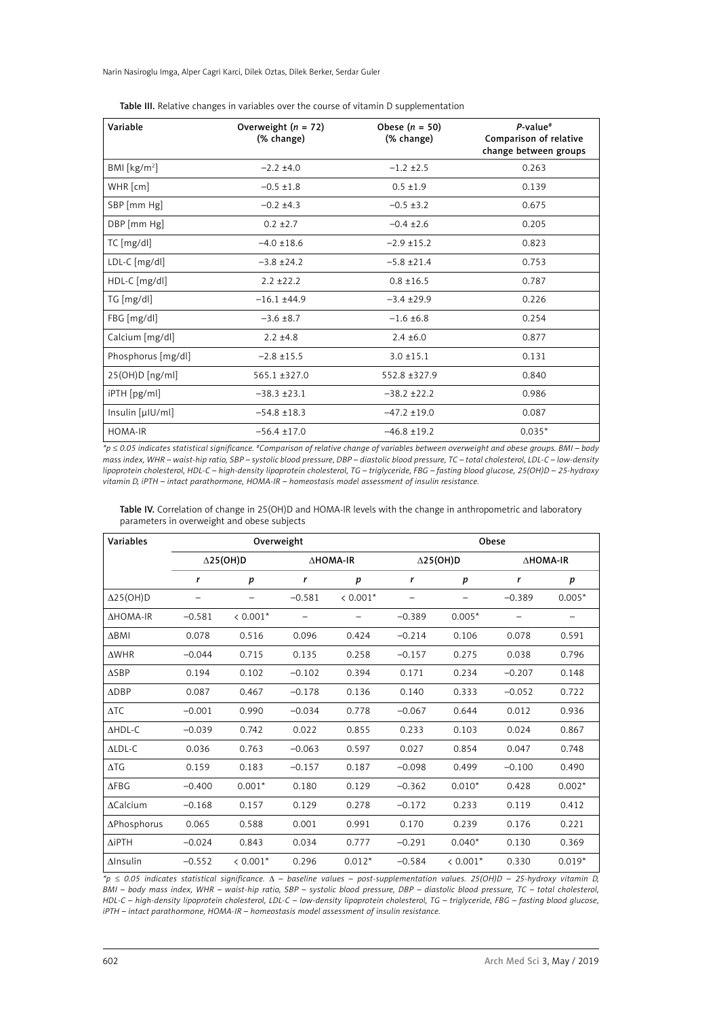Narin Nasiroglu Imga, Alper Cagri Karci, Dilek Oztas, Dilek Berker, Serdar Guler

| Variable                | Overweight $(n = 72)$<br>(% change) | Obese $(n = 50)$<br>(% change) | $P$ -value <sup>#</sup><br>Comparison of relative<br>change between groups |
|-------------------------|-------------------------------------|--------------------------------|----------------------------------------------------------------------------|
| BM [kg/m <sup>2</sup> ] | $-2.2 + 4.0$                        | $-1.2 \pm 2.5$                 | 0.263                                                                      |
| $WHR$ [cm]              | $-0.5 \pm 1.8$                      | $0.5 \pm 1.9$                  | 0.139                                                                      |
| SBP [mm Hg]             | $-0.2 \pm 4.3$                      | $-0.5 \pm 3.2$                 | 0.675                                                                      |
| DBP [mm Hg]             | $0.2 \pm 2.7$                       | $-0.4 \pm 2.6$                 | 0.205                                                                      |
| TC [mg/dl]              | $-4.0 \pm 18.6$                     | $-2.9$ ±15.2                   | 0.823                                                                      |
| LDL-C [mg/dl]           | $-3.8 \pm 24.2$                     | $-5.8 \pm 21.4$                | 0.753                                                                      |
| $HDL-C$ [mg/dl]         | $2.2 + 22.2$                        | $0.8 \pm 16.5$                 | 0.787                                                                      |
| TG [mg/dl]              | $-16.1 + 44.9$                      | $-3.4 \pm 29.9$                | 0.226                                                                      |
| FBG [mg/dl]             | $-3.6 \pm 8.7$                      | $-1.6 \pm 6.8$                 | 0.254                                                                      |
| Calcium [mg/dl]         | $2.2 \pm 4.8$                       | $2.4 \pm 6.0$                  | 0.877                                                                      |
| Phosphorus [mg/dl]      | $-2.8 \pm 15.5$                     | $3.0 \pm 15.1$                 | 0.131                                                                      |
| 25(OH)D[ng/ml]          | $565.1 \pm 327.0$                   | 552.8 ±327.9                   | 0.840                                                                      |
| iPTH [pg/ml]            | $-38.3 \pm 23.1$                    | $-38.2 \pm 22.2$               | 0.986                                                                      |
| Insulin [µ U/m ]        | $-54.8 \pm 18.3$                    | $-47.2 \pm 19.0$               | 0.087                                                                      |
| HOMA-IR                 | $-56.4 \pm 17.0$                    | $-46.8 \pm 19.2$               | $0.035*$                                                                   |

Table III. Relative changes in variables over the course of vitamin D supplementation

*\*p* ≤ *0.05 indicates statistical significance. #Comparison of relative change of variables between overweight and obese groups. BMI – body mass index, WHR – waist-hip ratio, SBP – systolic blood pressure, DBP – diastolic blood pressure, TC – total cholesterol, LDL-C – low-density lipoprotein cholesterol, HDL-C – high-density lipoprotein cholesterol, TG – triglyceride, FBG – fasting blood glucose, 25(OH)D – 25-hydroxy vitamin D, iPTH – intact parathormone, HOMA-IR – homeostasis model assessment of insulin resistance.*

| Table IV. Correlation of change in 25(OH)D and HOMA-IR levels with the change in anthropometric and laboratory |
|----------------------------------------------------------------------------------------------------------------|
| parameters in overweight and obese subjects                                                                    |

| Variables        | Overweight |                              |          |                  | Obese            |                  |          |          |
|------------------|------------|------------------------------|----------|------------------|------------------|------------------|----------|----------|
|                  |            | $\Delta$ 25(OH)D<br>∆HOMA-IR |          |                  | $\Delta$ 25(OH)D | ∆HOMA-IR         |          |          |
|                  | r          | $\boldsymbol{p}$             | r        | $\boldsymbol{p}$ | r                | $\boldsymbol{p}$ | r        | p        |
| $\Delta$ 25(OH)D |            |                              | $-0.581$ | $< 0.001*$       |                  |                  | $-0.389$ | $0.005*$ |
| <b>AHOMA-IR</b>  | $-0.581$   | $< 0.001*$                   |          |                  | $-0.389$         | $0.005*$         |          |          |
| $\Delta$ BMI     | 0.078      | 0.516                        | 0.096    | 0.424            | $-0.214$         | 0.106            | 0.078    | 0.591    |
| $\triangle WHR$  | $-0.044$   | 0.715                        | 0.135    | 0.258            | $-0.157$         | 0.275            | 0.038    | 0.796    |
| $\triangle$ SBP  | 0.194      | 0.102                        | $-0.102$ | 0.394            | 0.171            | 0.234            | $-0.207$ | 0.148    |
| $\triangle$ DBP  | 0.087      | 0.467                        | $-0.178$ | 0.136            | 0.140            | 0.333            | $-0.052$ | 0.722    |
| $\Delta TC$      | $-0.001$   | 0.990                        | $-0.034$ | 0.778            | $-0.067$         | 0.644            | 0.012    | 0.936    |
| <b>AHDL-C</b>    | $-0.039$   | 0.742                        | 0.022    | 0.855            | 0.233            | 0.103            | 0.024    | 0.867    |
| $ALDL-C$         | 0.036      | 0.763                        | $-0.063$ | 0.597            | 0.027            | 0.854            | 0.047    | 0.748    |
| $\Delta TG$      | 0.159      | 0.183                        | $-0.157$ | 0.187            | $-0.098$         | 0.499            | $-0.100$ | 0.490    |
| $\triangle$ FBG  | $-0.400$   | $0.001*$                     | 0.180    | 0.129            | $-0.362$         | $0.010*$         | 0.428    | $0.002*$ |
| $\Delta$ Calcium | $-0.168$   | 0.157                        | 0.129    | 0.278            | $-0.172$         | 0.233            | 0.119    | 0.412    |
| ΔPhosphorus      | 0.065      | 0.588                        | 0.001    | 0.991            | 0.170            | 0.239            | 0.176    | 0.221    |
| $\Delta$ iPTH    | $-0.024$   | 0.843                        | 0.034    | 0.777            | $-0.291$         | $0.040*$         | 0.130    | 0.369    |
| $\Delta$ Insulin | $-0.552$   | $< 0.001*$                   | 0.296    | $0.012*$         | $-0.584$         | $< 0.001*$       | 0.330    | $0.019*$ |

*\*p* ≤ *0.05 indicates statistical significance.* ∆ *– baseline values – post-supplementation values. 25(OH)D – 25-hydroxy vitamin D, BMI – body mass index, WHR – waist-hip ratio, SBP – systolic blood pressure, DBP – diastolic blood pressure, TC – total cholesterol, HDL-C – high-density lipoprotein cholesterol, LDL-C – low-density lipoprotein cholesterol, TG – triglyceride, FBG – fasting blood glucose, iPTH – intact parathormone, HOMA-IR – homeostasis model assessment of insulin resistance.*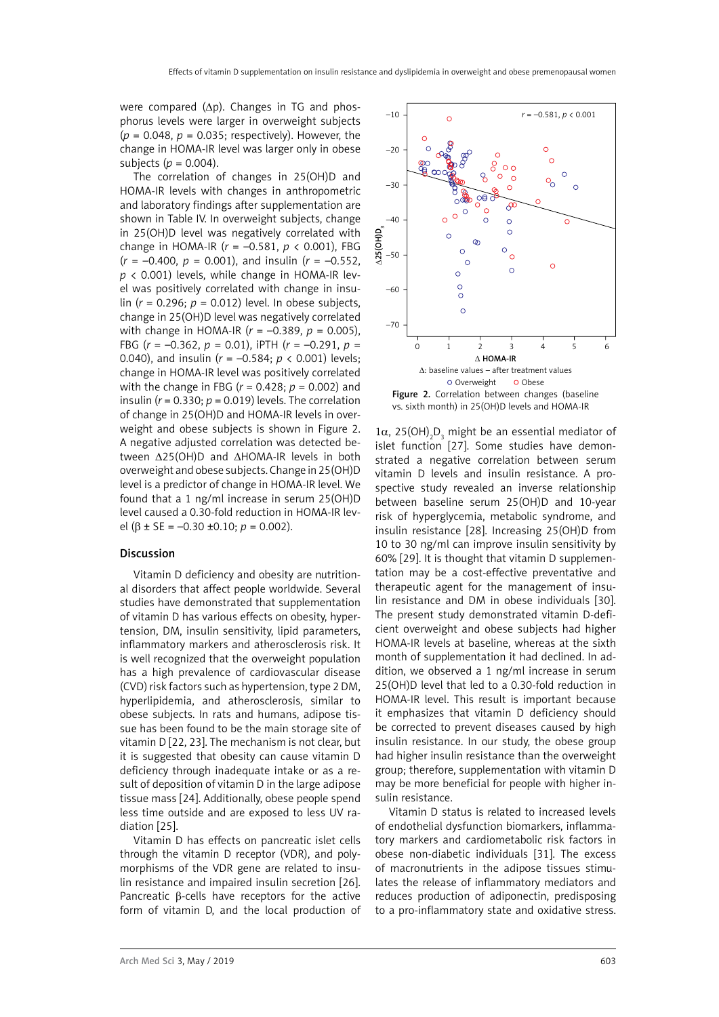were compared (∆p). Changes in TG and phosphorus levels were larger in overweight subjects (*p* = 0.048, *p* = 0.035; respectively). However, the change in HOMA-IR level was larger only in obese subjects (*p* = 0.004).

The correlation of changes in 25(OH)D and HOMA-IR levels with changes in anthropometric and laboratory findings after supplementation are shown in Table IV. In overweight subjects, change in 25(OH)D level was negatively correlated with change in HOMA-IR (*r* = –0.581, *p* < 0.001), FBG  $(r = -0.400, p = 0.001)$ , and insulin  $(r = -0.552)$ .  $p$  < 0.001) levels, while change in HOMA-IR level was positively correlated with change in insulin (*r* = 0.296; *p* = 0.012) level. In obese subjects, change in 25(OH)D level was negatively correlated with change in HOMA-IR (*r* = –0.389, *p* = 0.005), FBG (*r* = –0.362, *p* = 0.01), iPTH (*r* = –0.291, *p* = 0.040), and insulin (*r* = –0.584; *p* < 0.001) levels; change in HOMA-IR level was positively correlated with the change in FBG (*r* = 0.428; *p* = 0.002) and insulin ( $r = 0.330$ ;  $p = 0.019$ ) levels. The correlation of change in 25(OH)D and HOMA-IR levels in overweight and obese subjects is shown in Figure 2. A negative adjusted correlation was detected between Δ25(OH)D and ∆HOMA-IR levels in both overweight and obese subjects. Change in 25(OH)D level is a predictor of change in HOMA-IR level. We found that a 1 ng/ml increase in serum 25(OH)D level caused a 0.30-fold reduction in HOMA-IR level (β ± SE = –0.30 ±0.10; *p* = 0.002).

### Discussion

Vitamin D deficiency and obesity are nutritional disorders that affect people worldwide. Several studies have demonstrated that supplementation of vitamin D has various effects on obesity, hypertension, DM, insulin sensitivity, lipid parameters, inflammatory markers and atherosclerosis risk. It is well recognized that the overweight population has a high prevalence of cardiovascular disease (CVD) risk factors such as hypertension, type 2 DM, hyperlipidemia, and atherosclerosis, similar to obese subjects. In rats and humans, adipose tissue has been found to be the main storage site of vitamin D [22, 23]. The mechanism is not clear, but it is suggested that obesity can cause vitamin D deficiency through inadequate intake or as a result of deposition of vitamin D in the large adipose tissue mass [24]. Additionally, obese people spend less time outside and are exposed to less UV radiation [25].

Vitamin D has effects on pancreatic islet cells through the vitamin D receptor (VDR), and polymorphisms of the VDR gene are related to insulin resistance and impaired insulin secretion [26]. Pancreatic β-cells have receptors for the active form of vitamin D, and the local production of



1α, 25(OH)<sub>2</sub>D<sub>3</sub> might be an essential mediator of islet function [27]. Some studies have demonstrated a negative correlation between serum vitamin D levels and insulin resistance. A prospective study revealed an inverse relationship between baseline serum 25(OH)D and 10-year risk of hyperglycemia, metabolic syndrome, and insulin resistance [28]. Increasing 25(OH)D from 10 to 30 ng/ml can improve insulin sensitivity by 60% [29]. It is thought that vitamin D supplementation may be a cost-effective preventative and therapeutic agent for the management of insulin resistance and DM in obese individuals [30]. The present study demonstrated vitamin D-deficient overweight and obese subjects had higher HOMA-IR levels at baseline, whereas at the sixth month of supplementation it had declined. In addition, we observed a 1 ng/ml increase in serum 25(OH)D level that led to a 0.30-fold reduction in HOMA-IR level. This result is important because it emphasizes that vitamin D deficiency should be corrected to prevent diseases caused by high insulin resistance. In our study, the obese group had higher insulin resistance than the overweight group; therefore, supplementation with vitamin D may be more beneficial for people with higher insulin resistance.

Vitamin D status is related to increased levels of endothelial dysfunction biomarkers, inflammatory markers and cardiometabolic risk factors in obese non-diabetic individuals [31]. The excess of macronutrients in the adipose tissues stimulates the release of inflammatory mediators and reduces production of adiponectin, predisposing to a pro-inflammatory state and oxidative stress.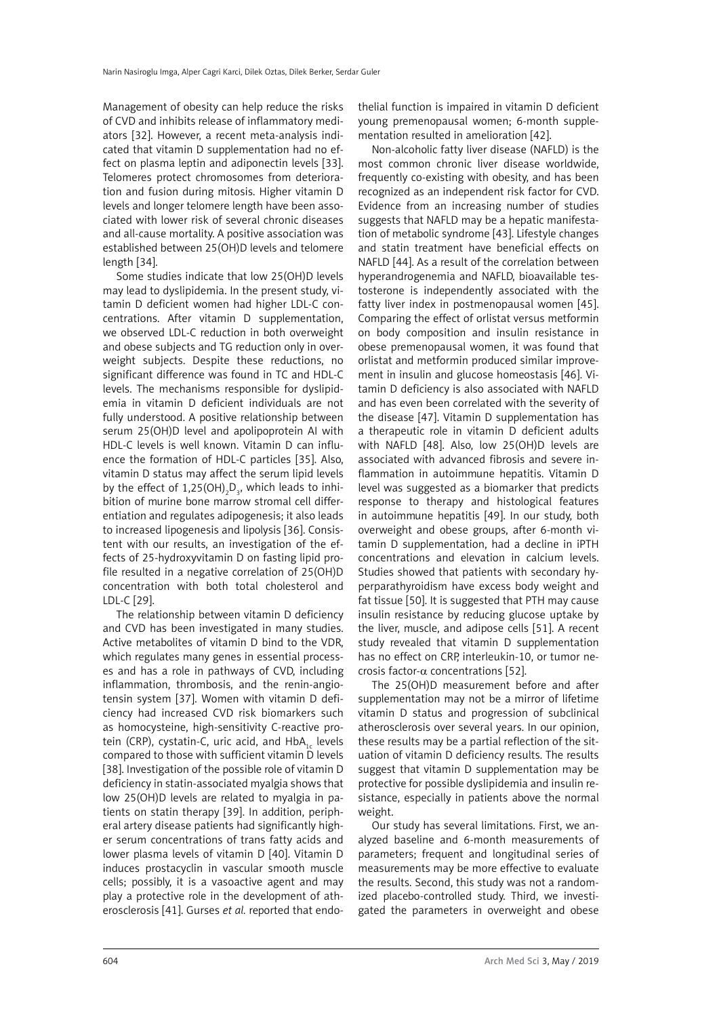Management of obesity can help reduce the risks of CVD and inhibits release of inflammatory mediators [32]. However, a recent meta-analysis indicated that vitamin D supplementation had no effect on plasma leptin and adiponectin levels [33]. Telomeres protect chromosomes from deterioration and fusion during mitosis. Higher vitamin D levels and longer telomere length have been associated with lower risk of several chronic diseases and all-cause mortality. A positive association was established between 25(OH)D levels and telomere length [34].

Some studies indicate that low 25(OH)D levels may lead to dyslipidemia. In the present study, vitamin D deficient women had higher LDL-C concentrations. After vitamin D supplementation, we observed LDL-C reduction in both overweight and obese subjects and TG reduction only in overweight subjects. Despite these reductions, no significant difference was found in TC and HDL-C levels. The mechanisms responsible for dyslipidemia in vitamin D deficient individuals are not fully understood. A positive relationship between serum 25(OH)D level and apolipoprotein AI with HDL-C levels is well known. Vitamin D can influence the formation of HDL-C particles [35]. Also, vitamin D status may affect the serum lipid levels by the effect of 1,25(OH)<sub>2</sub>D<sub>3</sub>, which leads to inhibition of murine bone marrow stromal cell differentiation and regulates adipogenesis; it also leads to increased lipogenesis and lipolysis [36]. Consistent with our results, an investigation of the effects of 25-hydroxyvitamin D on fasting lipid profile resulted in a negative correlation of 25(OH)D concentration with both total cholesterol and LDL-C [29].

The relationship between vitamin D deficiency and CVD has been investigated in many studies. Active metabolites of vitamin D bind to the VDR, which regulates many genes in essential processes and has a role in pathways of CVD, including inflammation, thrombosis, and the renin-angiotensin system [37]. Women with vitamin D deficiency had increased CVD risk biomarkers such as homocysteine, high-sensitivity C-reactive protein (CRP), cystatin-C, uric acid, and  $HbA_{1c}$  levels compared to those with sufficient vitamin D levels [38]. Investigation of the possible role of vitamin D deficiency in statin-associated myalgia shows that low 25(OH)D levels are related to myalgia in patients on statin therapy [39]. In addition, peripheral artery disease patients had significantly higher serum concentrations of trans fatty acids and lower plasma levels of vitamin D [40]. Vitamin D induces prostacyclin in vascular smooth muscle cells; possibly, it is a vasoactive agent and may play a protective role in the development of atherosclerosis [41]. Gurses *et al.* reported that endothelial function is impaired in vitamin D deficient young premenopausal women; 6-month supplementation resulted in amelioration [42].

Non-alcoholic fatty liver disease (NAFLD) is the most common chronic liver disease worldwide, frequently co-existing with obesity, and has been recognized as an independent risk factor for CVD. Evidence from an increasing number of studies suggests that NAFLD may be a hepatic manifestation of metabolic syndrome [43]. Lifestyle changes and statin treatment have beneficial effects on NAFLD [44]. As a result of the correlation between hyperandrogenemia and NAFLD, bioavailable testosterone is independently associated with the fatty liver index in postmenopausal women [45]. Comparing the effect of orlistat versus metformin on body composition and insulin resistance in obese premenopausal women, it was found that orlistat and metformin produced similar improvement in insulin and glucose homeostasis [46]. Vitamin D deficiency is also associated with NAFLD and has even been correlated with the severity of the disease [47]. Vitamin D supplementation has a therapeutic role in vitamin D deficient adults with NAFLD [48]. Also, low 25(OH)D levels are associated with advanced fibrosis and severe inflammation in autoimmune hepatitis. Vitamin D level was suggested as a biomarker that predicts response to therapy and histological features in autoimmune hepatitis [49]. In our study, both overweight and obese groups, after 6-month vitamin D supplementation, had a decline in iPTH concentrations and elevation in calcium levels. Studies showed that patients with secondary hyperparathyroidism have excess body weight and fat tissue [50]. It is suggested that PTH may cause insulin resistance by reducing glucose uptake by the liver, muscle, and adipose cells [51]. A recent study revealed that vitamin D supplementation has no effect on CRP, interleukin-10, or tumor necrosis factor- $\alpha$  concentrations [52].

The 25(OH)D measurement before and after supplementation may not be a mirror of lifetime vitamin D status and progression of subclinical atherosclerosis over several years. In our opinion, these results may be a partial reflection of the situation of vitamin D deficiency results. The results suggest that vitamin D supplementation may be protective for possible dyslipidemia and insulin resistance, especially in patients above the normal weight.

Our study has several limitations. First, we analyzed baseline and 6-month measurements of parameters; frequent and longitudinal series of measurements may be more effective to evaluate the results. Second, this study was not a randomized placebo-controlled study. Third, we investigated the parameters in overweight and obese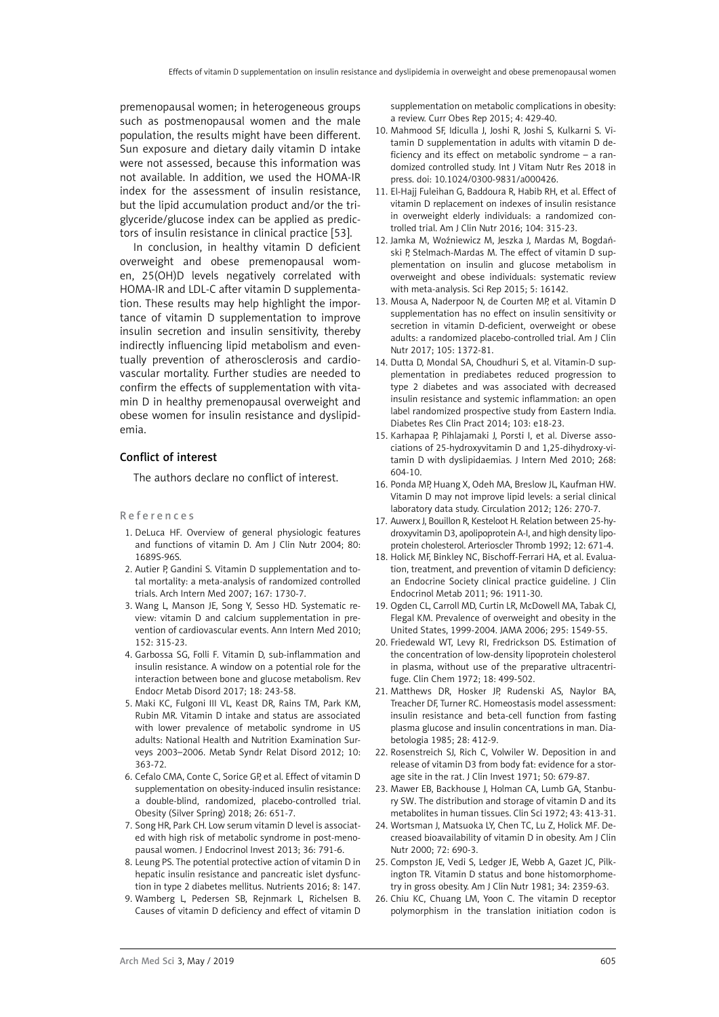premenopausal women; in heterogeneous groups such as postmenopausal women and the male population, the results might have been different. Sun exposure and dietary daily vitamin D intake were not assessed, because this information was not available. In addition, we used the HOMA-IR index for the assessment of insulin resistance, but the lipid accumulation product and/or the triglyceride/glucose index can be applied as predictors of insulin resistance in clinical practice [53].

In conclusion, in healthy vitamin D deficient overweight and obese premenopausal women, 25(OH)D levels negatively correlated with HOMA-IR and LDL-C after vitamin D supplementation. These results may help highlight the importance of vitamin D supplementation to improve insulin secretion and insulin sensitivity, thereby indirectly influencing lipid metabolism and eventually prevention of atherosclerosis and cardiovascular mortality. Further studies are needed to confirm the effects of supplementation with vitamin D in healthy premenopausal overweight and obese women for insulin resistance and dyslipidemia.

#### Conflict of interest

The authors declare no conflict of interest.

#### References

- 1. DeLuca HF. Overview of general physiologic features and functions of vitamin D. Am J Clin Nutr 2004; 80: 1689S-96S.
- 2. Autier P, Gandini S. Vitamin D supplementation and total mortality: a meta-analysis of randomized controlled trials. Arch Intern Med 2007; 167: 1730-7.
- 3. Wang L, Manson JE, Song Y, Sesso HD. Systematic review: vitamin D and calcium supplementation in prevention of cardiovascular events. Ann Intern Med 2010; 152: 315-23.
- 4. Garbossa SG, Folli F. Vitamin D, sub-inflammation and insulin resistance. A window on a potential role for the interaction between bone and glucose metabolism. Rev Endocr Metab Disord 2017; 18: 243-58.
- 5. Maki KC, Fulgoni III VL, Keast DR, Rains TM, Park KM, Rubin MR. Vitamin D intake and status are associated with lower prevalence of metabolic syndrome in US adults: National Health and Nutrition Examination Surveys 2003–2006. Metab Syndr Relat Disord 2012; 10: 363-72.
- 6. Cefalo CMA, Conte C, Sorice GP, et al. Effect of vitamin D supplementation on obesity-induced insulin resistance: a double-blind, randomized, placebo-controlled trial. Obesity (Silver Spring) 2018; 26: 651-7.
- 7. Song HR, Park CH. Low serum vitamin D level is associated with high risk of metabolic syndrome in post-menopausal women. J Endocrinol Invest 2013; 36: 791-6.
- 8. Leung PS. The potential protective action of vitamin D in hepatic insulin resistance and pancreatic islet dysfunction in type 2 diabetes mellitus. Nutrients 2016; 8: 147.
- 9. Wamberg L, Pedersen SB, Rejnmark L, Richelsen B. Causes of vitamin D deficiency and effect of vitamin D

supplementation on metabolic complications in obesity: a review. Curr Obes Rep 2015; 4: 429-40.

- 10. Mahmood SF, Idiculla J, Joshi R, Joshi S, Kulkarni S. Vitamin D supplementation in adults with vitamin D deficiency and its effect on metabolic syndrome – a randomized controlled study. Int J Vitam Nutr Res 2018 in press. doi: 10.1024/0300-9831/a000426.
- 11. El-Hajj Fuleihan G, Baddoura R, Habib RH, et al. Effect of vitamin D replacement on indexes of insulin resistance in overweight elderly individuals: a randomized controlled trial. Am J Clin Nutr 2016; 104: 315-23.
- 12. Jamka M, Woźniewicz M, Jeszka J, Mardas M, Bogdański P, Stelmach-Mardas M. The effect of vitamin D supplementation on insulin and glucose metabolism in overweight and obese individuals: systematic review with meta-analysis. Sci Rep 2015; 5: 16142.
- 13. Mousa A, Naderpoor N, de Courten MP, et al. Vitamin D supplementation has no effect on insulin sensitivity or secretion in vitamin D-deficient, overweight or obese adults: a randomized placebo-controlled trial. Am J Clin Nutr 2017; 105: 1372-81.
- 14. Dutta D, Mondal SA, Choudhuri S, et al. Vitamin-D supplementation in prediabetes reduced progression to type 2 diabetes and was associated with decreased insulin resistance and systemic inflammation: an open label randomized prospective study from Eastern India. Diabetes Res Clin Pract 2014; 103: e18-23.
- 15. Karhapaa P, Pihlajamaki J, Porsti I, et al. Diverse associations of 25-hydroxyvitamin D and 1,25-dihydroxy-vitamin D with dyslipidaemias. J Intern Med 2010; 268: 604-10.
- 16. Ponda MP, Huang X, Odeh MA, Breslow JL, Kaufman HW. Vitamin D may not improve lipid levels: a serial clinical laboratory data study. Circulation 2012; 126: 270-7.
- 17. Auwerx J, Bouillon R, Kesteloot H. Relation between 25-hydroxyvitamin D3, apolipoprotein A-I, and high density lipoprotein cholesterol. Arterioscler Thromb 1992; 12: 671-4.
- 18. Holick MF, Binkley NC, Bischoff-Ferrari HA, et al. Evaluation, treatment, and prevention of vitamin D deficiency: an Endocrine Society clinical practice guideline. J Clin Endocrinol Metab 2011; 96: 1911-30.
- 19. Ogden CL, Carroll MD, Curtin LR, McDowell MA, Tabak CJ, Flegal KM. Prevalence of overweight and obesity in the United States, 1999-2004. JAMA 2006; 295: 1549-55.
- 20. Friedewald WT, Levy RI, Fredrickson DS. Estimation of the concentration of low-density lipoprotein cholesterol in plasma, without use of the preparative ultracentrifuge. Clin Chem 1972; 18: 499-502.
- 21. Matthews DR, Hosker JP, Rudenski AS, Naylor BA, Treacher DF, Turner RC. Homeostasis model assessment: insulin resistance and beta-cell function from fasting plasma glucose and insulin concentrations in man. Diabetologia 1985; 28: 412-9.
- 22. Rosenstreich SJ, Rich C, Volwiler W. Deposition in and release of vitamin D3 from body fat: evidence for a storage site in the rat. J Clin Invest 1971; 50: 679-87.
- 23. Mawer EB, Backhouse J, Holman CA, Lumb GA, Stanbury SW. The distribution and storage of vitamin D and its metabolites in human tissues. Clin Sci 1972; 43: 413-31.
- 24. Wortsman J, Matsuoka LY, Chen TC, Lu Z, Holick MF. Decreased bioavailability of vitamin D in obesity. Am J Clin Nutr 2000; 72: 690-3.
- 25. Compston JE, Vedi S, Ledger JE, Webb A, Gazet JC, Pilkington TR. Vitamin D status and bone histomorphometry in gross obesity. Am J Clin Nutr 1981; 34: 2359-63.
- 26. Chiu KC, Chuang LM, Yoon C. The vitamin D receptor polymorphism in the translation initiation codon is